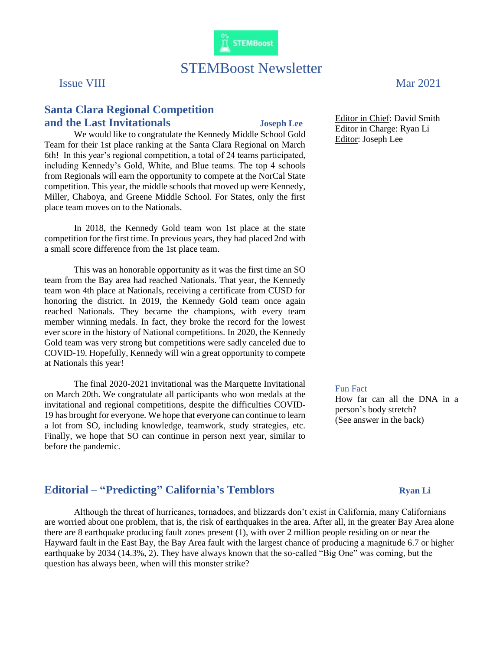

# STEMBoost Newsletter

## **Santa Clara Regional Competition and the Last Invitationals Joseph Lee**

We would like to congratulate the Kennedy Middle School Gold Team for their 1st place ranking at the Santa Clara Regional on March 6th! In this year's regional competition, a total of 24 teams participated, including Kennedy's Gold, White, and Blue teams. The top 4 schools from Regionals will earn the opportunity to compete at the NorCal State competition. This year, the middle schools that moved up were Kennedy, Miller, Chaboya, and Greene Middle School. For States, only the first place team moves on to the Nationals.

In 2018, the Kennedy Gold team won 1st place at the state competition for the first time. In previous years, they had placed 2nd with a small score difference from the 1st place team.

This was an honorable opportunity as it was the first time an SO team from the Bay area had reached Nationals. That year, the Kennedy team won 4th place at Nationals, receiving a certificate from CUSD for honoring the district. In 2019, the Kennedy Gold team once again reached Nationals. They became the champions, with every team member winning medals. In fact, they broke the record for the lowest ever score in the history of National competitions. In 2020, the Kennedy Gold team was very strong but competitions were sadly canceled due to COVID-19. Hopefully, Kennedy will win a great opportunity to compete at Nationals this year!

The final 2020-2021 invitational was the Marquette Invitational on March 20th. We congratulate all participants who won medals at the invitational and regional competitions, despite the difficulties COVID-19 has brought for everyone. We hope that everyone can continue to learn a lot from SO, including knowledge, teamwork, study strategies, etc. Finally, we hope that SO can continue in person next year, similar to before the pandemic.

Issue VIII Mar 2021

Editor in Chief: David Smith Editor in Charge: Ryan Li Editor: Joseph Lee

### Fun Fact

How far can all the DNA in a person's body stretch? (See answer in the back)

# **Editorial – "Predicting" California's Temblors Ryan Li**

Although the threat of hurricanes, tornadoes, and blizzards don't exist in California, many Californians are worried about one problem, that is, the risk of earthquakes in the area. After all, in the greater Bay Area alone there are 8 earthquake producing fault zones present (1), with over 2 million people residing on or near the Hayward fault in the East Bay, the Bay Area fault with the largest chance of producing a magnitude 6.7 or higher earthquake by 2034 (14.3%, 2). They have always known that the so-called "Big One" was coming, but the question has always been, when will this monster strike?